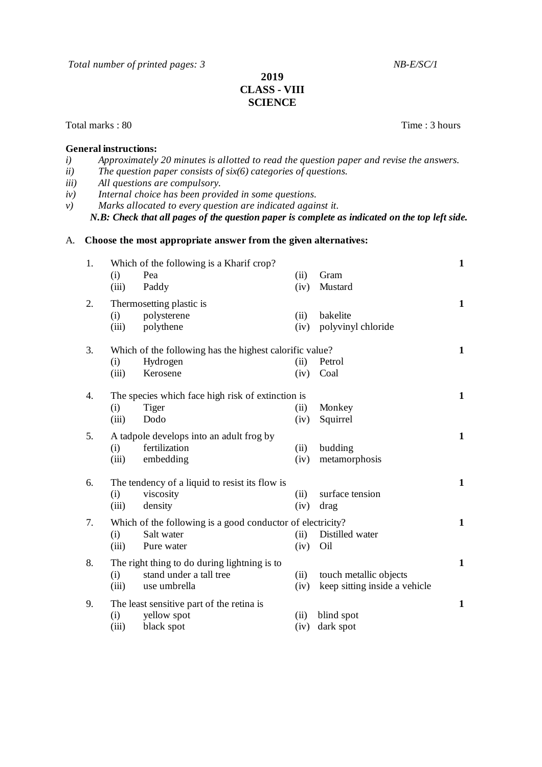*Total number of printed pages: 3 NB-E/SC/1*

## **2019 CLASS - VIII SCIENCE**

Total marks : 80 Time : 3 hours

## **General instructions:**

- *i) Approximately 20 minutes is allotted to read the question paper and revise the answers. ii) The question paper consists of six(6) categories of questions. iii) All questions are compulsory. iv) Internal choice has been provided in some questions.*
- *v) Marks allocated to every question are indicated against it.*

*N.B: Check that all pages of the question paper is complete as indicated on the top left side.*

## A. **Choose the most appropriate answer from the given alternatives:**

| 1. | (i)<br>(iii) | Which of the following is a Kharif crop?<br>Pea<br>Paddy                                | (ii)<br>(iv) | Gram<br>Mustard                                         | $\mathbf{1}$ |
|----|--------------|-----------------------------------------------------------------------------------------|--------------|---------------------------------------------------------|--------------|
| 2. | (i)<br>(iii) | Thermosetting plastic is<br>polysterene<br>polythene                                    | (ii)<br>(iv) | bakelite<br>polyvinyl chloride                          | 1            |
| 3. | (i)<br>(iii) | Which of the following has the highest calorific value?<br>Hydrogen<br>Kerosene         | (ii)<br>(iv) | Petrol<br>Coal                                          | 1            |
| 4. | (i)<br>(iii) | The species which face high risk of extinction is<br>Tiger<br>Dodo                      | (ii)<br>(iv) | Monkey<br>Squirrel                                      | 1            |
| 5. | (i)<br>(iii) | A tadpole develops into an adult frog by<br>fertilization<br>embedding                  | (ii)<br>(iv) | budding<br>metamorphosis                                | $\mathbf{1}$ |
| 6. | (i)<br>(iii) | The tendency of a liquid to resist its flow is<br>viscosity<br>density                  | (ii)<br>(iv) | surface tension<br>drag                                 | $\mathbf{1}$ |
| 7. | (i)<br>(iii) | Which of the following is a good conductor of electricity?<br>Salt water<br>Pure water  | (ii)<br>(iv) | Distilled water<br>Oil                                  | $\mathbf{1}$ |
| 8. | (i)<br>(iii) | The right thing to do during lightning is to<br>stand under a tall tree<br>use umbrella | (ii)<br>(iv) | touch metallic objects<br>keep sitting inside a vehicle | $\mathbf{1}$ |
| 9. | (i)<br>(iii) | The least sensitive part of the retina is<br>yellow spot<br>black spot                  | (ii)<br>(iv) | blind spot<br>dark spot                                 | $\mathbf{1}$ |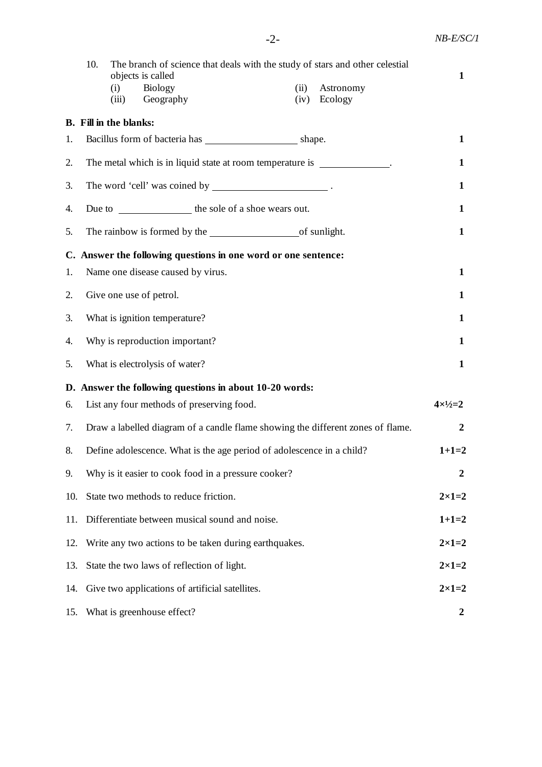|     | 10.<br>The branch of science that deals with the study of stars and other celestial<br>objects is called<br><b>Biology</b><br>Astronomy<br>(i)<br>(ii)<br>Geography<br>Ecology<br>(iv)<br>(iii) | 1                  |
|-----|-------------------------------------------------------------------------------------------------------------------------------------------------------------------------------------------------|--------------------|
|     | <b>B.</b> Fill in the blanks:                                                                                                                                                                   |                    |
| 1.  |                                                                                                                                                                                                 | $\mathbf{1}$       |
| 2.  | The metal which is in liquid state at room temperature is ______________.                                                                                                                       | $\mathbf{1}$       |
| 3.  |                                                                                                                                                                                                 | $\mathbf{1}$       |
| 4.  |                                                                                                                                                                                                 | $\mathbf{1}$       |
| 5.  |                                                                                                                                                                                                 | $\mathbf{1}$       |
|     | C. Answer the following questions in one word or one sentence:                                                                                                                                  |                    |
| 1.  | Name one disease caused by virus.                                                                                                                                                               | $\mathbf{1}$       |
| 2.  | Give one use of petrol.                                                                                                                                                                         | $\mathbf{1}$       |
| 3.  | What is ignition temperature?                                                                                                                                                                   | $\mathbf{1}$       |
| 4.  | Why is reproduction important?                                                                                                                                                                  | $\mathbf{1}$       |
| 5.  | What is electrolysis of water?                                                                                                                                                                  | $\mathbf{1}$       |
|     | D. Answer the following questions in about 10-20 words:                                                                                                                                         |                    |
| 6.  | List any four methods of preserving food.                                                                                                                                                       | $4 \times 1/2 = 2$ |
| 7.  | Draw a labelled diagram of a candle flame showing the different zones of flame.                                                                                                                 | $\boldsymbol{2}$   |
| 8.  | Define adolescence. What is the age period of adolescence in a child?                                                                                                                           | $1+1=2$            |
| 9.  | Why is it easier to cook food in a pressure cooker?                                                                                                                                             | 2                  |
| 10. | State two methods to reduce friction.                                                                                                                                                           | $2\times1=2$       |
| 11. | Differentiate between musical sound and noise.                                                                                                                                                  | $1+1=2$            |
| 12. | Write any two actions to be taken during earthquakes.                                                                                                                                           | $2\times1=2$       |
| 13. | State the two laws of reflection of light.                                                                                                                                                      | $2 \times 1 = 2$   |
| 14. | Give two applications of artificial satellites.                                                                                                                                                 | $2 \times 1 = 2$   |
|     | 15. What is greenhouse effect?                                                                                                                                                                  | 2                  |